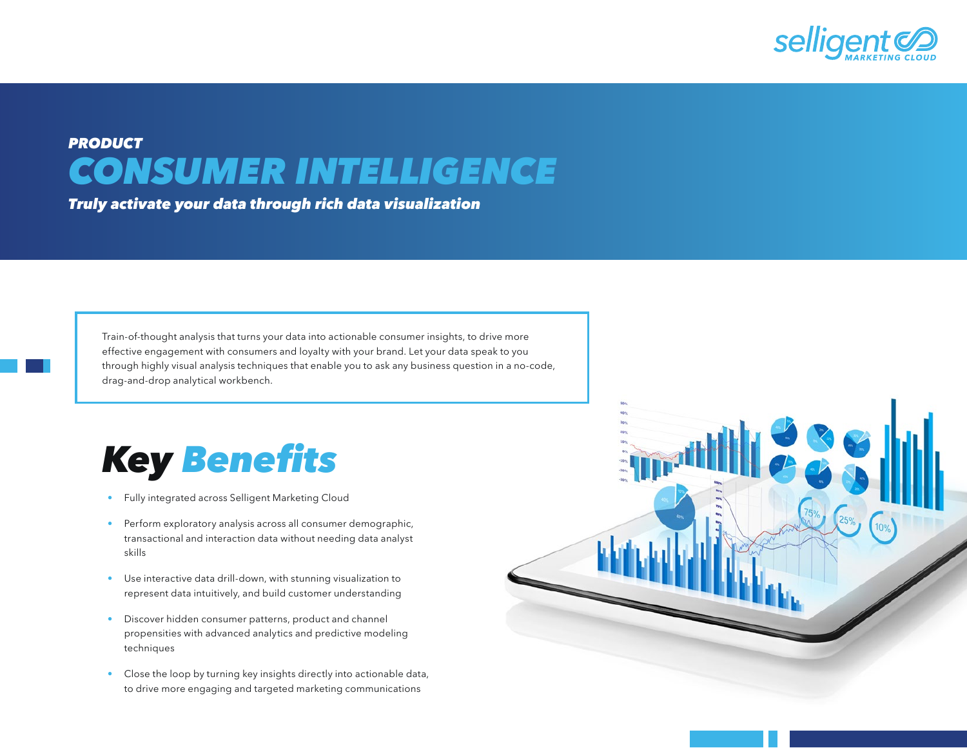

## *PRODUCT CONSUMER INTELLIGENCE*

*Truly activate your data through rich data visualization* 

Train-of-thought analysis that turns your data into actionable consumer insights, to drive more effective engagement with consumers and loyalty with your brand. Let your data speak to you through highly visual analysis techniques that enable you to ask any business question in a no-code, drag-and-drop analytical workbench.

## *Key* Benefits

- Fully integrated across Selligent Marketing Cloud
- Perform exploratory analysis across all consumer demographic, transactional and interaction data without needing data analyst skills
- Use interactive data drill-down, with stunning visualization to represent data intuitively, and build customer understanding
- Discover hidden consumer patterns, product and channel propensities with advanced analytics and predictive modeling techniques
- Close the loop by turning key insights directly into actionable data, to drive more engaging and targeted marketing communications